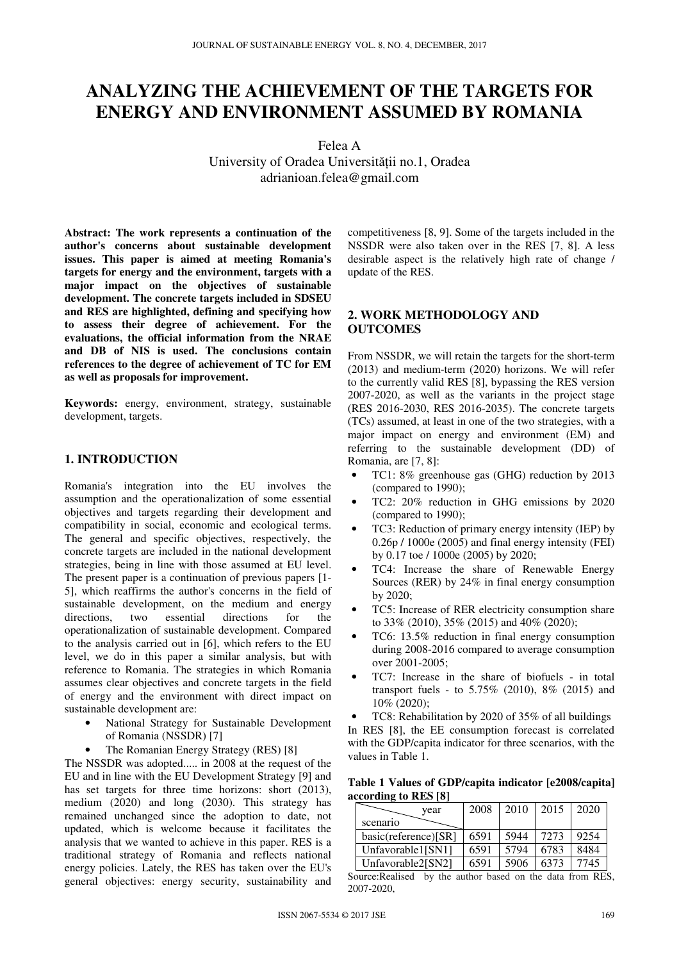# **ANALYZING THE ACHIEVEMENT OF THE TARGETS FOR ENERGY AND ENVIRONMENT ASSUMED BY ROMANIA**

Felea A University of Oradea Universităţii no.1, Oradea adrianioan.felea@gmail.com

**Abstract: The work represents a continuation of the author's concerns about sustainable development issues. This paper is aimed at meeting Romania's targets for energy and the environment, targets with a major impact on the objectives of sustainable development. The concrete targets included in SDSEU and RES are highlighted, defining and specifying how to assess their degree of achievement. For the evaluations, the official information from the NRAE and DB of NIS is used. The conclusions contain references to the degree of achievement of TC for EM as well as proposals for improvement.** 

**Keywords:** energy, environment, strategy, sustainable development, targets.

## **1. INTRODUCTION**

Romania's integration into the EU involves the assumption and the operationalization of some essential objectives and targets regarding their development and compatibility in social, economic and ecological terms. The general and specific objectives, respectively, the concrete targets are included in the national development strategies, being in line with those assumed at EU level. The present paper is a continuation of previous papers [1- 5], which reaffirms the author's concerns in the field of sustainable development, on the medium and energy directions, two essential directions for the operationalization of sustainable development. Compared to the analysis carried out in [6], which refers to the EU level, we do in this paper a similar analysis, but with reference to Romania. The strategies in which Romania assumes clear objectives and concrete targets in the field of energy and the environment with direct impact on sustainable development are:

- National Strategy for Sustainable Development of Romania (NSSDR) [7]
- The Romanian Energy Strategy (RES) [8]

The NSSDR was adopted..... in 2008 at the request of the EU and in line with the EU Development Strategy [9] and has set targets for three time horizons: short (2013), medium (2020) and long (2030). This strategy has remained unchanged since the adoption to date, not updated, which is welcome because it facilitates the analysis that we wanted to achieve in this paper. RES is a traditional strategy of Romania and reflects national energy policies. Lately, the RES has taken over the EU's general objectives: energy security, sustainability and competitiveness [8, 9]. Some of the targets included in the NSSDR were also taken over in the RES [7, 8]. A less desirable aspect is the relatively high rate of change / update of the RES.

## **2. WORK METHODOLOGY AND OUTCOMES**

From NSSDR, we will retain the targets for the short-term (2013) and medium-term (2020) horizons. We will refer to the currently valid RES [8], bypassing the RES version 2007-2020, as well as the variants in the project stage (RES 2016-2030, RES 2016-2035). The concrete targets (TCs) assumed, at least in one of the two strategies, with a major impact on energy and environment (EM) and referring to the sustainable development (DD) of Romania, are [7, 8]:

- TC1: 8% greenhouse gas (GHG) reduction by 2013 (compared to 1990);
- TC2: 20% reduction in GHG emissions by 2020 (compared to 1990);
- TC3: Reduction of primary energy intensity (IEP) by 0.26p / 1000e (2005) and final energy intensity (FEI) by 0.17 toe / 1000e (2005) by 2020;
- TC4: Increase the share of Renewable Energy Sources (RER) by 24% in final energy consumption by 2020;
- TC5: Increase of RER electricity consumption share to 33% (2010), 35% (2015) and 40% (2020);
- TC6: 13.5% reduction in final energy consumption during 2008-2016 compared to average consumption over 2001-2005;
- TC7: Increase in the share of biofuels in total transport fuels - to 5.75% (2010), 8% (2015) and 10% (2020);
- TC8: Rehabilitation by 2020 of 35% of all buildings

In RES [8], the EE consumption forecast is correlated with the GDP/capita indicator for three scenarios, with the values in Table 1.

| Table 1 Values of GDP/capita indicator [e2008/capita] |  |  |
|-------------------------------------------------------|--|--|
| according to RES [8]                                  |  |  |

| vear                  | 2008 | 2010 | 2015 | 2020 |
|-----------------------|------|------|------|------|
| scenario              |      |      |      |      |
| basic(reference)[SR]  | 6591 | 5944 | 7273 | 9254 |
| Unfavorable $1$ [SN1] | 6591 | 5794 | 6783 | 8484 |
| Unfavorable2[SN2]     | 6591 | 5906 | 6373 | 7745 |

Source:Realised by the author based on the data from RES, 2007-2020,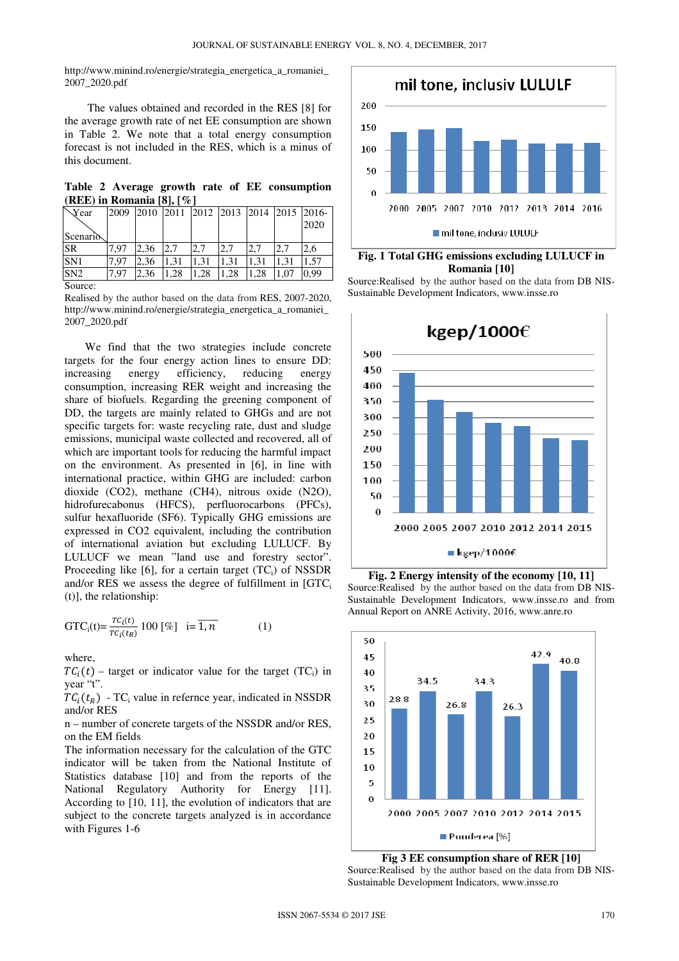http://www.minind.ro/energie/strategia\_energetica\_a\_romaniei 2007\_2020.pdf

 The values obtained and recorded in the RES [8] for the average growth rate of net EE consumption are shown in Table 2. We note that a total energy consumption forecast is not included in the RES, which is a minus of this document.

|  |                                 |  |  | Table 2 Average growth rate of EE consumption |
|--|---------------------------------|--|--|-----------------------------------------------|
|  | (REE) in Romania $[8]$ , $[\%]$ |  |  |                                               |

| Year            | 2009 | 2010 | 2011 |     | 2012 2013 2014 |      | 2015 2016- |      |
|-----------------|------|------|------|-----|----------------|------|------------|------|
|                 |      |      |      |     |                |      |            | 2020 |
| Scenario        |      |      |      |     |                |      |            |      |
| <b>SR</b>       | 7.97 | 2,36 |      | 2,7 | 2,7            |      |            | 2,6  |
| SN <sub>1</sub> | 7.97 | 2,36 | .31  | .31 | 1,31           | 1,31 | 1.31       | .57  |
| SN2             | 7.97 | 2,36 | .28  | .28 | .28            | .28  | .07        | 0,99 |
| Source:         |      |      |      |     |                |      |            |      |

Realised by the author based on the data from RES, 2007-2020, http://www.minind.ro/energie/strategia\_energetica\_a\_romaniei\_ 2007\_2020.pdf

We find that the two strategies include concrete targets for the four energy action lines to ensure DD: increasing energy efficiency, reducing energy consumption, increasing RER weight and increasing the share of biofuels. Regarding the greening component of DD, the targets are mainly related to GHGs and are not specific targets for: waste recycling rate, dust and sludge emissions, municipal waste collected and recovered, all of which are important tools for reducing the harmful impact on the environment. As presented in [6], in line with international practice, within GHG are included: carbon dioxide (CO2), methane (CH4), nitrous oxide (N2O), hidrofurecabonus (HFCS), perfluorocarbons (PFCs), sulfur hexafluoride (SF6). Typically GHG emissions are expressed in CO2 equivalent, including the contribution of international aviation but excluding LULUCF. By LULUCF we mean "land use and forestry sector". Proceeding like  $[6]$ , for a certain target  $(TC_i)$  of NSSDR and/or RES we assess the degree of fulfillment in  $[GTC_i]$ (t)], the relationship:

$$
GTC_i(t) = \frac{TC_i(t)}{TC_i(t_R)} 100 \, [\%] \quad i = \overline{1, n} \tag{1}
$$

where,

 $TC_i(t)$  – target or indicator value for the target (TC<sub>i</sub>) in year "t".

 $TC_i(t_R)$  - TC<sub>i</sub> value in refernce year, indicated in NSSDR and/or RES

n – number of concrete targets of the NSSDR and/or RES, on the EM fields

The information necessary for the calculation of the GTC indicator will be taken from the National Institute of Statistics database [10] and from the reports of the National Regulatory Authority for Energy [11]. According to [10, 11], the evolution of indicators that are subject to the concrete targets analyzed is in accordance with Figures 1-6





Source:Realised by the author based on the data from DB NIS-Sustainable Development Indicators, www.insse.ro



**Fig. 2 Energy intensity of the economy [10, 11]**  Source:Realised by the author based on the data from DB NIS-Sustainable Development Indicators, www.insse.ro and from Annual Report on ANRE Activity, 2016, www.anre.ro



Source:Realised by the author based on the data from DB NIS-Sustainable Development Indicators, www.insse.ro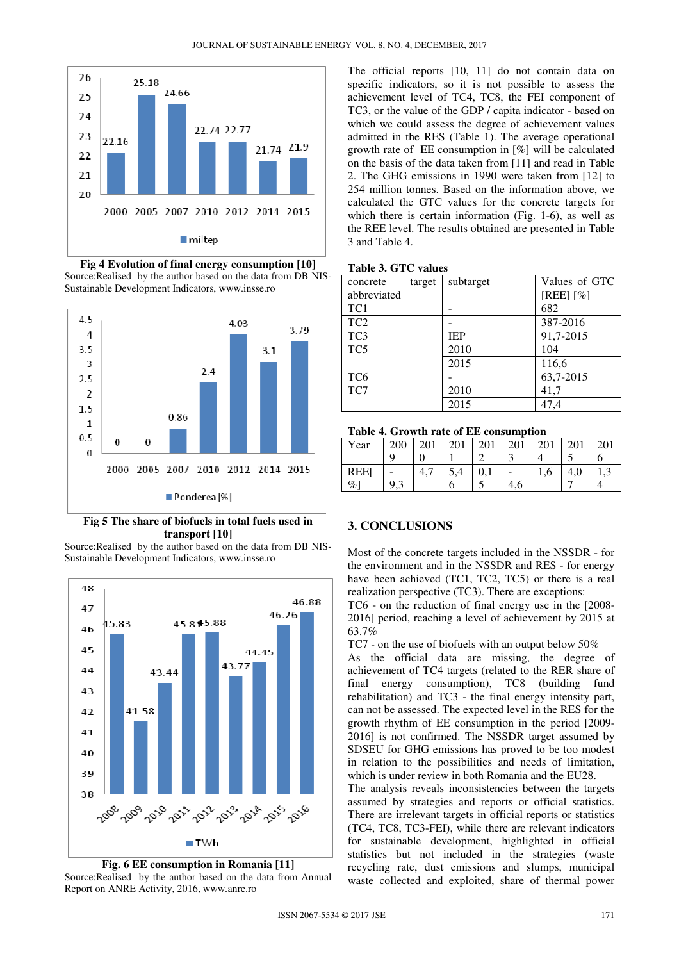

**Fig 4 Evolution of final energy consumption [10]**  Source:Realised by the author based on the data from DB NIS-Sustainable Development Indicators, www.insse.ro



**Fig 5 The share of biofuels in total fuels used in transport [10]** 

Source:Realised by the author based on the data from DB NIS-Sustainable Development Indicators, www.insse.ro





The official reports [10, 11] do not contain data on specific indicators, so it is not possible to assess the achievement level of TC4, TC8, the FEI component of TC3, or the value of the GDP / capita indicator - based on which we could assess the degree of achievement values admitted in the RES (Table 1). The average operational growth rate of EE consumption in [%] will be calculated on the basis of the data taken from [11] and read in Table 2. The GHG emissions in 1990 were taken from [12] to 254 million tonnes. Based on the information above, we calculated the GTC values for the concrete targets for which there is certain information (Fig. 1-6), as well as the REE level. The results obtained are presented in Table 3 and Table 4.

#### **Table 3. GTC values**

| concrete        | target | subtarget  | Values of GTC |
|-----------------|--------|------------|---------------|
| abbreviated     |        |            | $[REE] [\%]$  |
| TC1             |        |            | 682           |
| TC <sub>2</sub> |        |            | 387-2016      |
| TC <sub>3</sub> |        | <b>IEP</b> | 91,7-2015     |
| TC5             |        | 2010       | 104           |
|                 |        | 2015       | 116,6         |
| TC <sub>6</sub> |        |            | 63,7-2015     |
| TC7             |        | 2010       | 41,7          |
|                 |        | 2015       | 47.4          |

**Table 4. Growth rate of EE consumption** 

| Year               | 200 | 201 | 201 | 201 | 201 | 201 | 201 | 201 |
|--------------------|-----|-----|-----|-----|-----|-----|-----|-----|
| <b>REE</b><br>$\%$ | a a |     |     |     | 4.6 | 1,U |     |     |

### **3. CONCLUSIONS**

Most of the concrete targets included in the NSSDR - for the environment and in the NSSDR and RES - for energy have been achieved (TC1, TC2, TC5) or there is a real realization perspective (TC3). There are exceptions:

TC6 - on the reduction of final energy use in the [2008- 2016] period, reaching a level of achievement by 2015 at 63.7%

TC7 - on the use of biofuels with an output below 50%

As the official data are missing, the degree of achievement of TC4 targets (related to the RER share of final energy consumption), TC8 (building fund rehabilitation) and TC3 - the final energy intensity part, can not be assessed. The expected level in the RES for the growth rhythm of EE consumption in the period [2009- 2016] is not confirmed. The NSSDR target assumed by SDSEU for GHG emissions has proved to be too modest in relation to the possibilities and needs of limitation, which is under review in both Romania and the EU28.

The analysis reveals inconsistencies between the targets assumed by strategies and reports or official statistics. There are irrelevant targets in official reports or statistics (TC4, TC8, TC3-FEI), while there are relevant indicators for sustainable development, highlighted in official statistics but not included in the strategies (waste recycling rate, dust emissions and slumps, municipal waste collected and exploited, share of thermal power